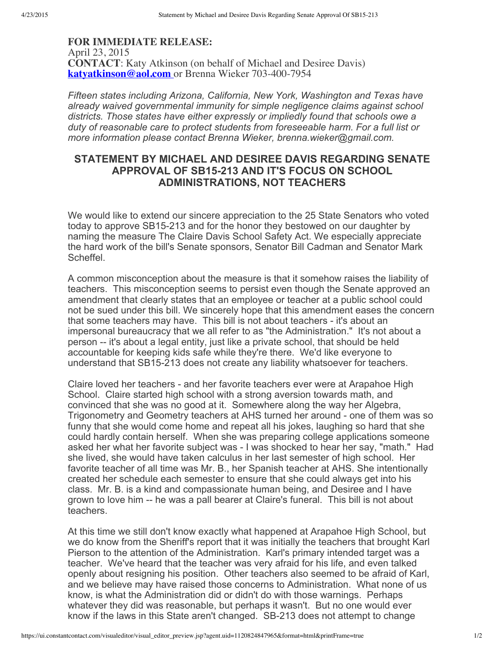## **FOR IMMEDIATE RELEASE:** April 23, 2015 **CONTACT**: Katy Atkinson (on behalf of Michael and Desiree Davis) **[katyatkinson@aol.com](mailto:katyatkinson@aol.com)** or Brenna Wieker 703-400-7954

*Fifteen states including Arizona, California, New York, Washington and Texas have already waived governmental immunity for simple negligence claims against school districts. Those states have either expressly or impliedly found that schools owe a duty of reasonable care to protect students from foreseeable harm. For a full list or more information please contact Brenna Wieker, brenna.wieker@gmail.com.*

## **STATEMENT BY MICHAEL AND DESIREE DAVIS REGARDING SENATE APPROVAL OF SB15213 AND IT'S FOCUS ON SCHOOL ADMINISTRATIONS, NOT TEACHERS**

We would like to extend our sincere appreciation to the 25 State Senators who voted today to approve SB15213 and for the honor they bestowed on our daughter by naming the measure The Claire Davis School Safety Act. We especially appreciate the hard work of the bill's Senate sponsors, Senator Bill Cadman and Senator Mark Scheffel.

A common misconception about the measure is that it somehow raises the liability of teachers. This misconception seems to persist even though the Senate approved an amendment that clearly states that an employee or teacher at a public school could not be sued under this bill. We sincerely hope that this amendment eases the concern that some teachers may have. This bill is not about teachers - it's about an impersonal bureaucracy that we all refer to as "the Administration." It's not about a person -- it's about a legal entity, just like a private school, that should be held accountable for keeping kids safe while they're there. We'd like everyone to understand that SB15213 does not create any liability whatsoever for teachers.

Claire loved her teachers - and her favorite teachers ever were at Arapahoe High School. Claire started high school with a strong aversion towards math, and convinced that she was no good at it. Somewhere along the way her Algebra, Trigonometry and Geometry teachers at AHS turned her around - one of them was so funny that she would come home and repeat all his jokes, laughing so hard that she could hardly contain herself. When she was preparing college applications someone asked her what her favorite subject was - I was shocked to hear her say, "math." Had she lived, she would have taken calculus in her last semester of high school. Her favorite teacher of all time was Mr. B., her Spanish teacher at AHS. She intentionally created her schedule each semester to ensure that she could always get into his class. Mr. B. is a kind and compassionate human being, and Desiree and I have grown to love him -- he was a pall bearer at Claire's funeral. This bill is not about teachers.

At this time we still don't know exactly what happened at Arapahoe High School, but we do know from the Sheriff's report that it was initially the teachers that brought Karl Pierson to the attention of the Administration. Karl's primary intended target was a teacher. We've heard that the teacher was very afraid for his life, and even talked openly about resigning his position. Other teachers also seemed to be afraid of Karl, and we believe may have raised those concerns to Administration. What none of us know, is what the Administration did or didn't do with those warnings. Perhaps whatever they did was reasonable, but perhaps it wasn't. But no one would ever know if the laws in this State aren't changed. SB-213 does not attempt to change